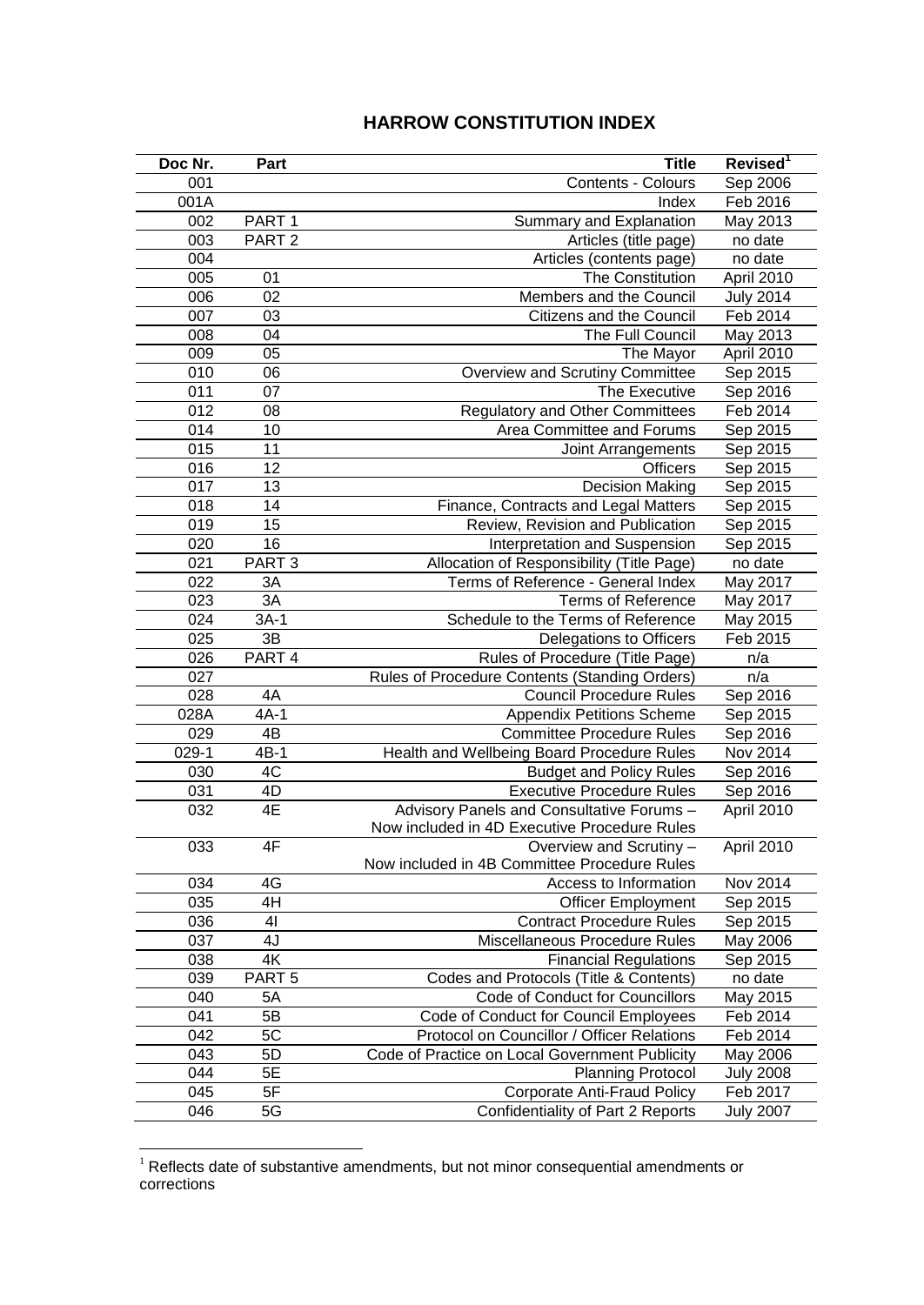## **HARROW CONSTITUTION INDEX**

| Doc Nr. | Part              | <b>Title</b>                                   | Revised <sup>1</sup> |
|---------|-------------------|------------------------------------------------|----------------------|
| 001     |                   | Contents - Colours                             | Sep 2006             |
| 001A    |                   | Index                                          | Feb 2016             |
| 002     | PART <sub>1</sub> | Summary and Explanation                        | May 2013             |
| 003     | PART <sub>2</sub> | Articles (title page)                          | no date              |
| 004     |                   | Articles (contents page)                       | no date              |
| 005     | 01                | The Constitution                               | April 2010           |
| 006     | 02                | Members and the Council                        | <b>July 2014</b>     |
| 007     | 03                | Citizens and the Council                       | Feb 2014             |
| 008     | 04                | The Full Council                               | May 2013             |
| 009     | 05                | The Mayor                                      | April 2010           |
| 010     | 06                | Overview and Scrutiny Committee                | Sep 2015             |
| 011     | 07                | The Executive                                  | Sep 2016             |
| 012     | 08                | <b>Regulatory and Other Committees</b>         | Feb 2014             |
| 014     | 10                | Area Committee and Forums                      | Sep 2015             |
| 015     | 11                | Joint Arrangements                             | Sep 2015             |
| 016     | 12                | <b>Officers</b>                                | Sep 2015             |
| 017     | 13                | <b>Decision Making</b>                         | Sep 2015             |
| 018     | 14                | Finance, Contracts and Legal Matters           | Sep 2015             |
| 019     | 15                | Review, Revision and Publication               | Sep 2015             |
| 020     | 16                | Interpretation and Suspension                  | Sep 2015             |
| 021     | PART <sub>3</sub> | Allocation of Responsibility (Title Page)      | no date              |
| 022     | 3A                | Terms of Reference - General Index             | May 2017             |
| 023     | 3A                | <b>Terms of Reference</b>                      | May 2017             |
| 024     | $3A-1$            | Schedule to the Terms of Reference             | May 2015             |
| 025     | 3B                | Delegations to Officers                        | Feb 2015             |
| 026     | PART 4            | Rules of Procedure (Title Page)                | n/a                  |
| 027     |                   | Rules of Procedure Contents (Standing Orders)  | n/a                  |
| 028     | 4A                | <b>Council Procedure Rules</b>                 | Sep 2016             |
| 028A    | $4A-1$            | <b>Appendix Petitions Scheme</b>               | Sep 2015             |
| 029     | 4B                | <b>Committee Procedure Rules</b>               | Sep 2016             |
| $029-1$ | $4B-1$            | Health and Wellbeing Board Procedure Rules     | Nov 2014             |
| 030     | 4C                | <b>Budget and Policy Rules</b>                 | Sep 2016             |
| 031     | 4D                | <b>Executive Procedure Rules</b>               | Sep 2016             |
| 032     | 4E                | Advisory Panels and Consultative Forums -      | April 2010           |
|         |                   | Now included in 4D Executive Procedure Rules   |                      |
| 033     | 4F                | Overview and Scrutiny -                        | April 2010           |
|         |                   | Now included in 4B Committee Procedure Rules   |                      |
| 034     | 4G                | Access to Information                          | Nov 2014             |
| 035     | 4H                | <b>Officer Employment</b>                      | Sep 2015             |
| 036     | 41                | <b>Contract Procedure Rules</b>                | Sep 2015             |
| 037     | 4J                | Miscellaneous Procedure Rules                  | May 2006             |
| 038     | 4K                | <b>Financial Regulations</b>                   | Sep 2015             |
| 039     | PART <sub>5</sub> | Codes and Protocols (Title & Contents)         | no date              |
| 040     | 5A                | Code of Conduct for Councillors                | May 2015             |
| 041     | 5B                | Code of Conduct for Council Employees          | Feb 2014             |
| 042     | 5C                | Protocol on Councillor / Officer Relations     | Feb 2014             |
| 043     | 5D                | Code of Practice on Local Government Publicity | May 2006             |
| 044     | 5E                | <b>Planning Protocol</b>                       | <b>July 2008</b>     |
| 045     | 5F                | <b>Corporate Anti-Fraud Policy</b>             | Feb 2017             |
| 046     | 5G                | Confidentiality of Part 2 Reports              | <b>July 2007</b>     |

 Reflects date of substantive amendments, but not minor consequential amendments or corrections

<u>.</u>